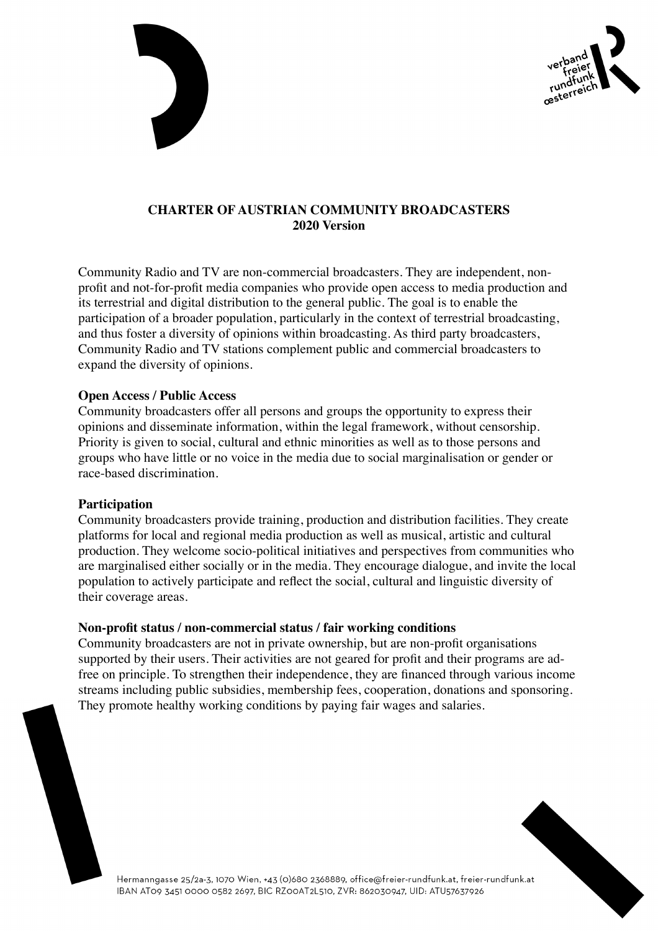



## **CHARTER OF AUSTRIAN COMMUNITY BROADCASTERS 2020 Version**

Community Radio and TV are non-commercial broadcasters. They are independent, nonprofit and not-for-profit media companies who provide open access to media production and its terrestrial and digital distribution to the general public. The goal is to enable the participation of a broader population, particularly in the context of terrestrial broadcasting, and thus foster a diversity of opinions within broadcasting. As third party broadcasters, Community Radio and TV stations complement public and commercial broadcasters to expand the diversity of opinions.

### **Open Access / Public Access**

Community broadcasters offer all persons and groups the opportunity to express their opinions and disseminate information, within the legal framework, without censorship. Priority is given to social, cultural and ethnic minorities as well as to those persons and groups who have little or no voice in the media due to social marginalisation or gender or race-based discrimination.

### **Participation**

Community broadcasters provide training, production and distribution facilities. They create platforms for local and regional media production as well as musical, artistic and cultural production. They welcome socio-political initiatives and perspectives from communities who are marginalised either socially or in the media. They encourage dialogue, and invite the local population to actively participate and reflect the social, cultural and linguistic diversity of their coverage areas.

## **Non-profit status / non-commercial status / fair working conditions**

Community broadcasters are not in private ownership, but are non-profit organisations supported by their users. Their activities are not geared for profit and their programs are adfree on principle. To strengthen their independence, they are financed through various income streams including public subsidies, membership fees, cooperation, donations and sponsoring. They promote healthy working conditions by paying fair wages and salaries.



Hermanngasse 25/2a-3, 1070 Wien, +43 (0)680 2368889, office@freier-rundfunk.at, freier-rundfunk.at IBAN AT09 3451 0000 0582 2697, BIC RZ00AT2L510, ZVR: 862030947, UID: ATU57637926